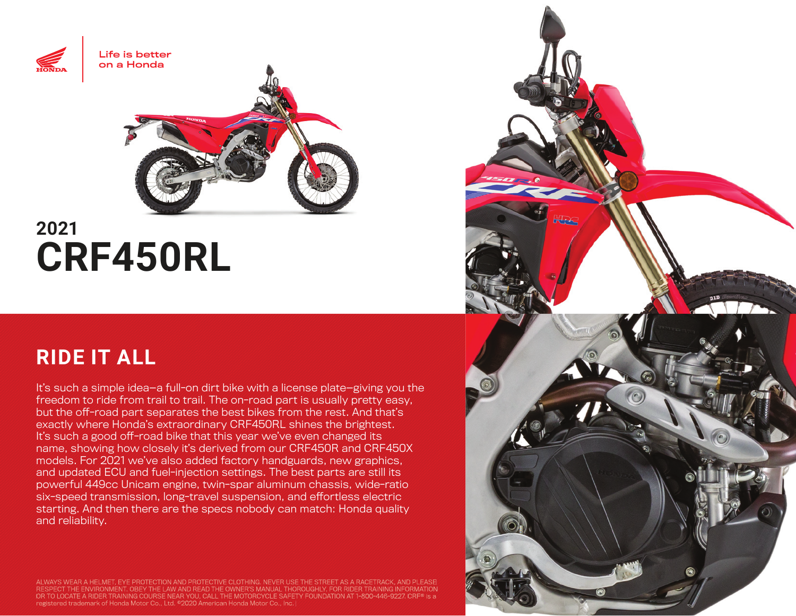

# **2021 CRF450RL**

# **RIDE IT ALL**

It's such a simple idea—a full-on dirt bike with a license plate—giving you the freedom to ride from trail to trail. The on-road part is usually pretty easy, but the off-road part separates the best bikes from the rest. And that's exactly where Honda's extraordinary CRF450RL shines the brightest. It's such a good off-road bike that this year we've even changed its name, showing how closely it's derived from our CRF450R and CRF450X models. For 2021 we've also added factory handguards, new graphics, and updated ECU and fuel-injection settings. The best parts are still its powerful 449cc Unicam engine, twin-spar aluminum chassis, wide-ratio six-speed transmission, long-travel suspension, and effortless electric starting. And then there are the specs nobody can match: Honda quality and reliability.

ALWAYS WEAR A HELMET, EYE PROTECTION AND PROTECTIVE CLOTHING. NEVER USE THE STREET AS A RACETRACK, AND PLEASE<br>RESPECT THE ENVIRONMENT. OBEY THE LAW AND READ THE OWNER'S MANUAL THOROUGHLY. FOR RIDER TRAINING INFORMATION I OR TO LOCATE A RIDER TRAINING COURSE NEAR YOU, CALL THE MOTORCYCLE SAFETY FOUNDATION AT 1-800-446-9227. CRF® is a registered trademark of Honda Motor Co., Ltd. ©2020 American Honda Motor Co., Inc.